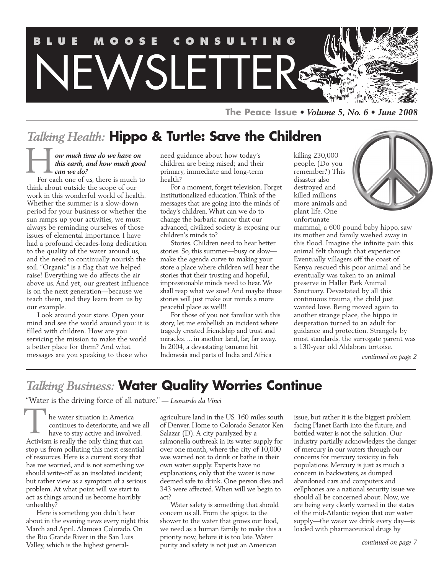

**The Peace Issue** *• Volume 5, No. 6 • June 2008*

## *Talking Health:* **Hippo & Turtle: Save the Children**

#### *ow much time do we have on this earth, and how much good can we do?* H

For each one of us, there is much to think about outside the scope of our work in this wonderful world of health. Whether the summer is a slow-down period for your business or whether the sun ramps up your activities, we must always be reminding ourselves of those issues of elemental importance. I have had a profound decades-long dedication to the quality of the water around us, and the need to continually nourish the soil. "Organic" is a flag that we helped raise! Everything we do affects the air above us. And yet, our greatest influence is on the next generation—because we teach them, and they learn from us by our example.

Look around your store. Open your mind and see the world around you: it is filled with children. How are you servicing the mission to make the world a better place for them? And what messages are you speaking to those who

need guidance about how today's children are being raised; and their primary, immediate and long-term health?

For a moment, forget television. Forget institutionalized education. Think of the messages that are going into the minds of today's children. What can we do to change the barbaric rancor that our advanced, civilized society is exposing our children's minds to?

Stories. Children need to hear better stories. So, this summer—busy or slow make the agenda curve to making your store a place where children will hear the stories that their trusting and hopeful, impressionable minds need to hear. We shall reap what we sow! And maybe those stories will just make our minds a more peaceful place as well!!

For those of you not familiar with this story, let me embellish an incident where tragedy created friendship and trust and miracles…. in another land, far, far away. In 2004, a devastating tsunami hit Indonesia and parts of India and Africa

killing 230,000 people. (Do you remember?) This disaster also destroyed and killed millions more animals and plant life. One unfortunate



mammal, a 600 pound baby hippo, saw its mother and family washed away in this flood. Imagine the infinite pain this animal felt through that experience. Eventually villagers off the coast of Kenya rescued this poor animal and he eventually was taken to an animal preserve in Haller Park Animal Sanctuary. Devastated by all this continuous trauma, the child just wanted love. Being moved again to another strange place, the hippo in desperation turned to an adult for guidance and protection. Strangely by most standards, the surrogate parent was a 130-year old Aldabran tortoise.

*continued on page 2*

## *Talking Business:* **Water Quality Worries Continue**

"Water is the driving force of all nature." — *Leonardo da Vinci*

he water situation in America continues to deteriorate, and we all have to stay active and involved. Activism is really the only thing that can stop us from polluting this most essential of resources. Here is a current story that has me worried, and is not something we should write-off as an insolated incident; but rather view as a symptom of a serious problem. At what point will we start to act as things around us become horribly unhealthy? T

Here is something you didn't hear about in the evening news every night this March and April. Alamosa Colorado. On the Rio Grande River in the San Luis Valley, which is the highest generalagriculture land in the US. 160 miles south of Denver. Home to Colorado Senator Ken Salazar (D). A city paralyzed by a salmonella outbreak in its water supply for over one month, where the city of 10,000 was warned not to drink or bathe in their own water supply. Experts have no explanations, only that the water is now deemed safe to drink. One person dies and 343 were affected. When will we begin to act?

Water safety is something that should concern us all. From the spigot to the shower to the water that grows our food, we need as a human family to make this a priority now, before it is too late. Water purity and safety is not just an American

issue, but rather it is the biggest problem facing Planet Earth into the future, and bottled water is not the solution. Our industry partially acknowledges the danger of mercury in our waters through our concerns for mercury toxicity in fish populations. Mercury is just as much a concern in backwaters, as dumped abandoned cars and computers and cellphones are a national security issue we should all be concerned about. Now, we are being very clearly warned in the states of the mid-Atlantic region that our water supply—the water we drink every day—is loaded with pharmaceutical drugs by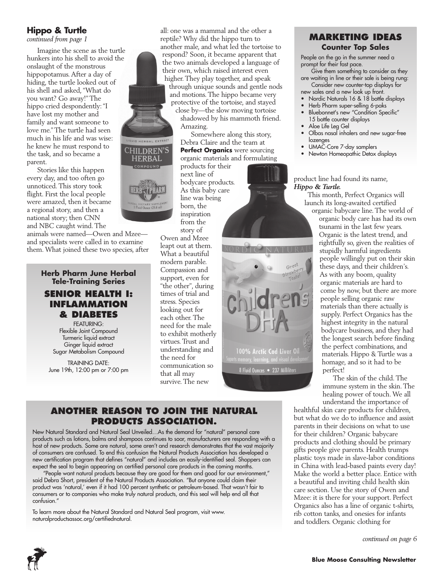#### **Hippo & Turtle**

*continued from page 1*

Imagine the scene as the turtle hunkers into his shell to avoid the onslaught of the monstrous hippopotamus. After a day of hiding, the turtle looked out of his shell and asked, "What do you want? Go away!" The hippo cried despondently: "I have lost my mother and family and want someone to love me." The turtle had seen much in his life and was wise: he knew he must respond to the task, and so became a parent.

Stories like this happen every day, and too often go unnoticed. This story took flight. First the local people were amazed, then it became a regional story, and then a national story; then CNN and NBC caught wind. The

animals were named—Owen and Mzee and specialists were called in to examine them. What joined these two species, after

#### **Herb Pharm June Herbal Tele-Training Series**



FEATURING: Flexible Joint Compound Turmeric liquid extract Ginger liquid extract Sugar Metabolism Compound

TRAINING DATE: June 19th, 12:00 pm or 7:00 pm

naturalproductsassoc.org/certifiednatural.

all: one was a mammal and the other a reptile? Why did the hippo turn to another male, and what led the tortoise to respond? Soon, it became apparent that the two animals developed a language of their own, which raised interest even higher. They play together, and speak through unique sounds and gentle nods and motions. The hippo became very protective of the tortoise, and stayed

> close by—the slow moving tortoise shadowed by his mammoth friend. Amazing.

Somewhere along this story, Debra Claire and the team at **Perfect Organics** were sourcing organic materials and formulating

100% Arctic Cod Liver Oil

8 Fluid Ounces • 237 Milliliters

products for their next line of bodycare products. As this baby care line was being born, the inspiration from the

story of Owen and Mzee leapt out at them. What a beautiful modern parable. Compassion and support, even for "the other", during times of trial and stress. Species looking out for each other. The need for the male to exhibit motherly virtues. Trust and understanding and the need for communication so that all may survive. The new

#### **Marketing Ideas Counter Top Sales**

People on the go in the summer need a prompt for their fast pace.

Give them something to consider as they are waiting in line or their sale is being rung: Consider new counter-top displays for

- new sales and a new look up front.
- Nordic Naturals 16 & 18 bottle displays
- Herb Pharm super-selling 6-paks
- Bluebonnet's new "Condition Specific" 15 bottle counter displays
- Aloe Life Leg Gel
- Olbas nasal inhalers and new sugar-free lozenges
- UMAC-Core 7-day samplers
- Newton Homeopathic Detox displays

#### product line had found its name, *Hippo & Turtle.*

This month, Perfect Organics will launch its long-awaited certified

organic babycare line. The world of organic body care has had its own tsunami in the last few years. Organic is the latest trend, and rightfully so, given the realities of stupidly harmful ingredients people willingly put on their skin these days, and their children's. As with any boom, quality organic materials are hard to come by now, but there are more people selling organic raw materials than there actually is supply. Perfect Organics has the highest integrity in the natural bodycare business, and they had the longest search before finding the perfect combinations, and materials. Hippo & Turtle was a homage, and so it had to be perfect!

The skin of the child. The immune system in the skin. The healing power of touch. We all understand the importance of

healthful skin care products for children, but what do we do to influence and assist parents in their decisions on what to use for their children? Organic babycare products and clothing should be primary gifts people give parents. Health trumps plastic toys made in slave-labor conditions in China with lead-based paints every day! Make the world a better place. Entice with a beautiful and inviting child health skin care section. Use the story of Owen and Mzee: it is there for your support. Perfect Organics also has a line of organic t-shirts, rib cotton tanks, and onesies for infants and toddlers. Organic clothing for

*continued on page 6*



confusion."



**Another Reason to Join the Natural Products Association.** New Natural Standard and Natural Seal Unveiled…As the demand for "natural" personal care products such as lotions, balms and shampoos continues to soar, manufacturers are responding with a host of new products. Some are natural, some aren't and research demonstrates that the vast majority of consumers are confused. To end this confusion the Natural Products Association has developed a new certification program that defines "natural" and includes an easily-identified seal. Shoppers can expect the seal to begin appearing on certified personal care products in the coming months.

"People want natural products because they are good for them and good for our environment," said Debra Short, president of the Natural Products Association. "But anyone could claim their product was 'natural,' even if it had 100 percent synthetic or petroleum-based. That wasn't fair to consumers or to companies who make truly natural products, and this seal will help end all that

To learn more about the Natural Standard and Natural Seal program, visit www.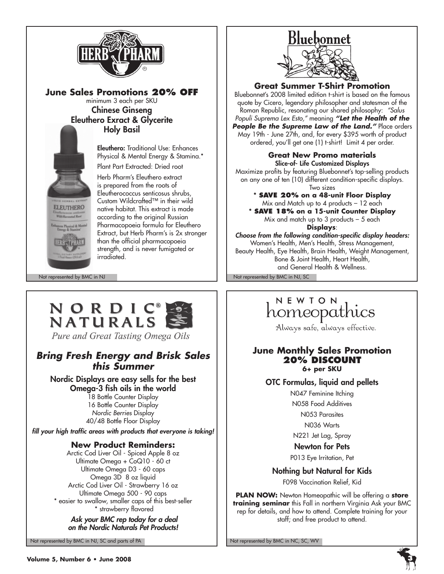

**June Sales Promotions 20% OFF** minimum 3 each per SKU Chinese Ginseng Eleuthero Exract & Glycerite Holy Basil

> Eleuthero: Traditional Use: Enhances Physical & Mental Energy & Stamina.\*

Plant Part Extracted: Dried root

Herb Pharm's Eleuthero extract is prepared from the roots of Eleutherococcus senticosus shrubs, Custom Wildcrafted™ in their wild native habitat. This extract is made according to the original Russian Pharmacopoeia formula for Eleuthero Extract, but Herb Pharm's is 2x stronger than the official pharmacopoeia strength, and is never fumigated or irradiated.

Not represented by BMC in NJ Not represented by BMC in NJ, SC

**ELEUTHERO** 

## NORDIC NATURALS

Pure and Great Tasting Omega Oils

## *Bring Fresh Energy and Brisk Sales this Summer*

Nordic Displays are easy sells for the best Omega-3 fish oils in the world

18 Bottle Counter Display 16 Bottle Counter Display *Nordic Berries* Display 40/48 Bottle Floor Display

*fill your high traffic areas with products that everyone is taking!*

### **New Product Reminders:**

Arctic Cod Liver Oil - Spiced Apple 8 oz Ultimate Omega + CoQ10 - 60 ct Ultimate Omega D3 - 60 caps Omega 3D 8 oz liquid Arctic Cod Liver Oil - Strawberry 16 oz Ultimate Omega 500 - 90 caps \* easier to swallow, smaller caps of this best-seller \* strawberry flavored

#### *Ask your BMC rep today for a deal on the Nordic Naturals Pet Products!*

Not represented by BMC in NJ, SC and parts of PA Not represented by BMC in NC, SC, WV

# Bluebonnet

**Great Summer T-Shirt Promotion**

Bluebonnet's 2008 limited edition t-shirt is based on the famous quote by Cicero, legendary philosopher and statesman of the Roman Republic, resonating our shared philosophy: *"Salus Populi Suprema Lex Esto,"* meaning *"Let the Health of the People Be the Supreme Law of the Land."* Place orders May 19th - June 27th, and, for every \$395 worth of product ordered, you'll get one (1) t-shirt! Limit 4 per order.

#### **Great New Promo materials** Slice-of- Life Customized Displays

Maximize profits by featuring Bluebonnet's top-selling products on any one of ten (10) different condition-specific displays. Two sizes

**\* Save 20% on a 48-unit Floor Display** Mix and Match up to 4 products – 12 each **\* Save 18% on a 15-unit Counter Display** Mix and match up to 3 products  $-5$  each

**Displays**:

*Choose from the following condition-specific display headers:* Women's Health, Men's Health, Stress Management, Beauty Health, Eye Health, Brain Health, Weight Management, Bone & Joint Health, Heart Health, and General Health & Wellness.

## NEWTON homeopathics

Always safe, always effective.

#### **June Monthly Sales Promotion 20% Discount 6+ per SKU**

#### OTC Formulas, liquid and pellets

N047 Feminine Itching N058 Food Additives N053 Parasites N036 Warts

N221 Jet Lag, Spray

Newton for Pets

P013 Eye Irritation, Pet

Nothing but Natural for Kids

F098 Vaccination Relief, Kid

**Plan now:** Newton Homeopathic will be offering a **store training seminar** this Fall in northern Virginia Ask your BMC rep for details, and how to attend. Complete training for your staff; and free product to attend.



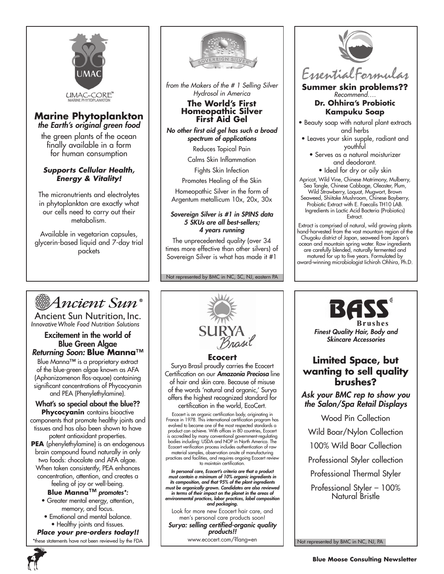

#### **Marine Phytoplankton** *the Earth's original green food*

the green plants of the ocean finally available in a form for human consumption

#### *Supports Cellular Health, Energy & Vitality!*

The micronutrients and electrolytes in phytoplankton are exactly what our cells need to carry out their metabolism.

Available in vegetarian capsules, glycerin-based liquid and 7-day trial packets



*from the Makers of the # 1 Selling Silver Hydrosol in America*

## **The World's First Homeopathic Silver First Aid Gel**

*No other first aid gel has such a broad spectrum of applications*

Reduces Topical Pain

Calms Skin Inflammation

Fights Skin Infection

Promotes Healing of the Skin

Homeopathic Silver in the form of Argentum metallicum 10x, 20x, 30x

#### *Sovereign Silver is #1 in SPINS data 5 SKUs are all best-sellers; 4 years running*

The unprecedented quality (over 34 times more effective than other silvers) of Sovereign Silver is what has made it #1

Not represented by BMC in NC, SC, NJ, eastern PA



**Summer skin problems??** *Recommend….*

#### **Dr. Ohhira's Probiotic Kampuku Soap**

- Beauty soap with natural plant extracts and herbs
- Leaves your skin supple, radiant and youthful
	- Serves as a natural moisturizer and deodorant.
		- Ideal for dry or oily skin

Apricot, Wild Vine, Chinese Matrimony, Mulberry, Sea Tangle, Chinese Cabbage, Oleaster, Plum,

Wild Strawberry, Loquat, Mugwort, Brown Seaweed, Shiitake Mushroom, Chinese Bayberry, Probiotic Extract with E. Faecalis TH10 LAB. Ingredients in Lactic Acid Bacteria (Probiotics) Extract.

Extract is comprised of natural, wild growing plants hand-harvested from the vast mountain region of the Chugoku district of Japan, seaweed from Japan's ocean and mountain spring water. Raw ingredients are carefully blended, naturally fermented and matured for up to five years. Formulated by award-winning microbiologist Iichiroh Ohhira, Ph.D.

Ancient Sun®

Ancient Sun Nutrition, Inc. *InnovativeWhole Food Nutrition Solutions*

#### Excitement in the world of Blue Green Algae *Returning Soon:* **Blue Manna**™

Blue Manna™ is a proprietary extract of the blue-green algae known as AFA (Aphanizomenon flos-aquae) containing significant concentrations of Phycocyanin and PEA (Phenylethylamine).

What's so special about the blue??

**Phycocyanin** contains bioactive components that promote healthy joints and tissues and has also been shown to have

potent antioxidant properties. **PEA** (phenylethylamine) is an endogenous brain compound found naturally in only two foods: chocolate and AFA algae. When taken consistently, PEA enhances concentration, attention, and creates a

feeling of joy or well-being. **Blue Manna**™ *promotes\*:*

- Greater mental energy, attention, memory, and focus.
- Emotional and mental balance. • Healthy joints and tissues.

*Place your pre-orders today!!* these statements have not been reviewed by the FDA



Certification on our *Amazonia Preciosa* line of hair and skin care. Because of misuse of the words 'natural and organic,' Surya offers the highest recognized standard for certification in the world, EcoCert.

Ecocert is an organic certification body, originating in<br>France in 1978. This international certification program has<br>evolved to become one of the most respected standards a<br>product can achieve. With offices in 80 countrie is accredited by many conventional government-regulating bodies including: USDA and NOP in North America. The Ecocert verification process includes authentication of raw material samples, observation onsite of manufacturing practices and facilities, and requires ongoing Ecocert review to maintain certification.

In personal care, Ecocert's criteria are that a product<br>must contain a minimum of 10% organic ingredients in<br>its composition, and that 95% of the plant ingredients<br>must be organically grown. Candidates are also reviewed *in terms of their impact on the planet in the areas of environmental practices, labor practices, label composition and packaging.*

Look for more new Ecocert hair care, and men's personal care products soon!

*Surya: selling certified-organic quality products!!*

www.ecocert.com/?lang=en



Wild Boar/Nylon Collection

100% Wild Boar Collection

Professional Styler collection

Professional Thermal Styler

Professional Styler – 100% Natural Bristle

Not represented by BMC in NC, NJ, PA

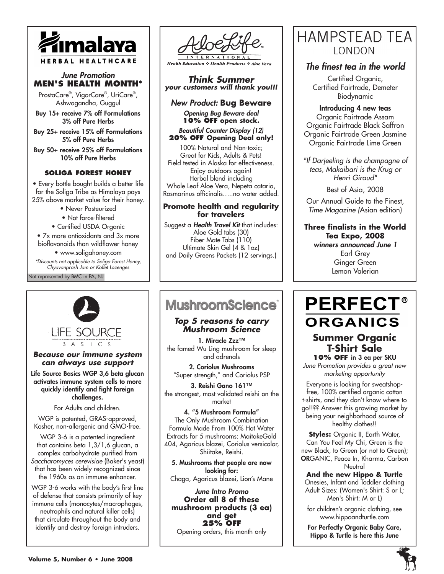

#### *June Promotion* **Men's Health Month\***

ProstaCare® , VigorCare® , UriCare®, Ashwagandha, Guggul

Buy 15+ receive 7% off Formulations 3% off Pure Herbs

Buy 25+ receive 15% off Formulations 5% off Pure Herbs

Buy 50+ receive 25% off Formulations 10% off Pure Herbs

#### **Soliga Forest Honey**

• Every bottle bought builds a better life for the Soliga Tribe as Himalaya pays 25% above market value for their honey.

• Never Pasteurized

• Not force-filtered

• Certified USDA Organic

• 7x more antioxidants and 3x more bioflavonoids than wildflower honey

• www.soligahoney.com

Not represented by BMC in PA, NJ *\*Discounts not applicable to Soliga Forest Honey, Chyavanprash Jam or Koflet Lozenges*



**Health Education & Health Products & Aloe** 

*Think Summer your customers will thank you!!!*

*New Product:* **Bug Beware**

*Opening Bug Beware deal*  **10% off open stock.**

*Beautiful Counter Display (12)*  **20% off Opening Deal only!** 

100% Natural and Non-toxic; Great for Kids, Adults & Pets! Field tested in Alaska for effectiveness. Enjoy outdoors again! Herbal blend including Whole Leaf Aloe Vera, Nepeta cataria, Rosmarinus officinalis…..no water added.

#### **Promote health and regularity for travelers**

Suggest a *Health Travel Kit* that includes: Aloe Gold tabs (30) Fiber Mate Tabs (110) Ultimate Skin Gel (4 & 1oz) and Daily Greens Packets (12 servings.)

## **MushroomScience**®

#### *Top 5 reasons to carry Mushroom Science*

1. Miracle Zzz™ the famed Wu Ling mushroom for sleep and adrenals

2. Coriolus Mushrooms "Super strength," and Coriolus PSP

3. Reishi Gano 161™ the strongest, most validated reishi on the market

4. "5 Mushroom Formula" The Only Mushroom Combination Formula Made From 100% Hot Water Extracts for 5 mushrooms: MaitakeGold 404, Agaricus blazei, Coriolus versicolor, Shiitake, Reishi.

5. Mushrooms that people are now looking for: Chaga, Agaricus blazei, Lion's Mane

*June Intro Promo* **Order all 8 of these mushroom products (3 ea) and get 25% off** Opening orders, this month only

## **HAMPSTEAD TEA LONDON**

#### *The finest tea in the world*

Certified Organic, Certified Fairtrade, Demeter Biodynamic

Introducing 4 new teas Organic Fairtrade Assam Organic Fairtrade Black Saffron Organic Fairtrade Green Jasmine Organic Fairtrade Lime Green

*"If Darjeeling is the champagne of teas, Makaibari is the Krug or Henri Giraud"*

Best of Asia, 2008

Our Annual Guide to the Finest, *Time Magazine (*Asian edition)

#### **Three finalists in the World Tea Expo, 2008** *winners announced June 1*

Earl Grey Ginger Green Lemon Valerian

**LIFE SOURCE** B A S I C S

#### *Because our immune system can always use support*

Life Source Basics WGP 3,6 beta glucan activates immune system cells to more quickly identify and fight foreign challenges.

For Adults and children.

WGP is patented, GRAS-approved, Kosher, non-allergenic and GMO-free.

WGP 3-6 is a patented ingredient that contains beta 1,3/1,6 glucan, a complex carbohydrate purified from *Saccharomyces cerevisiae* (Baker's yeast) that has been widely recognized since the 1960s as an immune enhancer.

WGP 3-6 works with the body's first line of defense that consists primarily of key immune cells (monocytes/macrophages, neutrophils and natural killer cells) that circulate throughout the body and identify and destroy foreign intruders.

## **PERFECT® ORGANICS Summer Organic T-Shirt Sale 10% off** in 3 ea per SKU

*June Promotion provides a great new marketing opportunity*

Everyone is looking for sweatshopfree, 100% certified organic cotton t-shirts, and they don't know where to go!!?? Answer this growing market by being your neighborhood source of healthy clothes!!

**Styles:** Organic II, Earth Water, Can You Feel My Chi, Green is the new Black, to Green (or not to Green); ORGANIC, Peace In, Kharma, Carbon

**Neutral And the new Hippo & Turtle**  Onesies, Infant and Toddler clothing Adult Sizes: (Women's Shirt: S or L; Men's Shirt: M or L)

for children's organic clothing, see www.hippoandturtle.com

For Perfectly Organic Baby Care, Hippo & Turtle is here this June

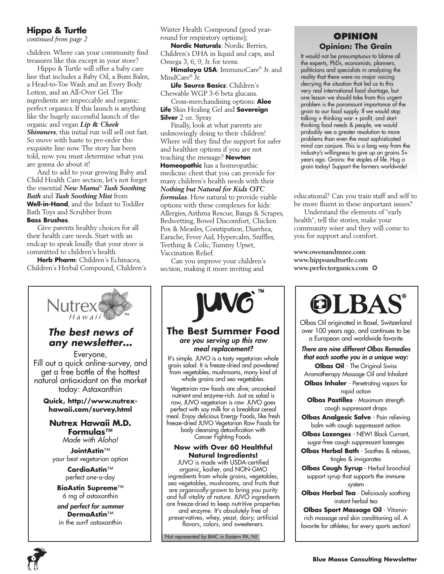#### **Hippo & Turtle**

*continued from page 2*

children. Where can your community find treasures like this except in your store?

Hippo & Turtle will offer a baby care line that includes a Baby Oil, a Bum Balm, a Head-to-Toe Wash and an Every Body Lotion, and an All-Over Gel. The ingredients are impeccable and organic: perfect organics. If this launch is anything like the hugely successful launch of the organic and vegan *Lip & Cheek Shimmers*, this initial run will sell out fast. So move with haste to pre-order this exquisite line now. The story has been told, now you must determine what you are gonna do about it!

And to add to your growing Baby and Child Health Care section, let's not forget the essential *New Mama*®  *Tush Soothing Bath* and *Tush Soothing Mist* from **Well-in-Hand**, and the Infant to Toddler Bath Toys and Scrubber from **Bass Brushes**.

Give parents healthy choices for all their health care needs. Start with an endcap to speak loudly that your store is committed to children's health.

**Herb Pharm**: Children's Echinacea, Children's Herbal Compound, Children's



## *The best news of any newsletter…*

Everyone, Fill out a quick online-survey, and get a free bottle of the hottest natural antioxidant on the market today: Astaxanthin

**Quick, http://www.nutrexhawaii.com/survey.html**

#### **Nutrex Hawaii M.D. Formulas™**  *Made with Aloha!*

**JointAstin**™ your best vegetarian option

> **CardioAstin**™ perfect one-a-day

**BioAstin Supreme**™ 6 mg of astaxanthin *and perfect for summer* **DermaAstin**™ in the sun? astaxanthin

Winter Health Compound (good yearround for respiratory options);

**Nordic Naturals**: Nordic Berries, Children's DHA in liquid and caps, and Omega 3, 6, 9, Jr. for teens.

**Himalaya USA**: ImmunoCare® Jr. and MindCare® Jr.

**Life Source Basics**: Children's Chewable WGP 3-6 beta glucans.

Cross-merchandising options: **Aloe Life** Skin Healing Gel and **Sovereign Silver** 2 oz. Spray

Finally, look at what parents are unknowingly doing to their children! Where will they find the support for safer and healthier options if you are not teaching the message? **Newton Homeopathic** has a homeopathic medicine chest that you can provide for many children's health needs with their *Nothing but Natural for Kids OTC formulas*. How natural to provide viable options with these complexes for kids: Allergies, Asthma Rescue, Bangs & Scrapes, Bedwetting, Bowel Discomfort, Chicken Pox & Measles, Constipation, Diarrhea, Earache, Fever Aid, Hypercalm, Sniffles, Teething & Colic, Tummy Upset, Vaccination Relief.

Can you improve your children's section, making it more inviting and



#### **The Best Summer Food** *are you serving up this raw meal replacement?*

It's simple. JUVO is a tasty vegetarian whole grain salad. It is freeze-dried and powdered from vegetables, mushrooms, many kind of whole grains and sea vegetables.

Vegetarian raw foods are alive; uncooked nutrient and enzyme-rich. Just as salad is raw, JUVO vegetarian is raw. JUVO goes perfect with soy milk for a breakfast cereal meal. Enjoy delicious Energy Foods, like fresh freeze-dried JUVO Vegetarian Raw Foods for body cleansing detoxification with Cancer Fighting Foods.

#### **Now with Over 60 Healthful Natural Ingredients!**

JUVO is made with USDA-certified organic, kosher, and NON-GMO ingredients from whole grains, vegetables, sea vegetables, mushrooms, and fruits that are organically-grown to bring you purity and full vitality of nature. JUVO ingredients are freeze-dried to keep nutritive properties and enzyme. It's absolutely free of preservatives, whey, yeast, dairy, artificial flavors, colors, and sweeteners.

Not represented by BMC in Eastern PA, NJ

#### **Opinion Opinion: The Grain**

It would not be presumptuous to blame all the experts, PhDs, economists, planners, politicians and specialists in analyzing the reality that there were no major voicing decrying the situation that led us to this very real international food shortage, but one lesson we should take from this urgent problem is the paramount importance of the grain to our food supply. If we would stop talking + thinking war + profit, and start thinking food needs & people, we would probably see a greater resolution to more problems than even the most sophisticated mind can conjure. This is a long way from the industry's willingness to give up on grains 5+ years ago. Grains: the staples of life. Hug a grain today! Support the farmers worldwide!

educational? Can you train staff and self to be more fluent in these important issues?

Understand the elements of "early health", tell the stories, make your community wiser and they will come to you for support and comfort.

**www.owenandmzee.com www.hippoandturtle.com www.perfectorganics.com** ❂



Olbas Oil originated in Basel, Switzerland over 100 years ago, and continues to be a European and worldwide favorite

*There are nine different Olbas Remedies that each soothe you in a unique way:* 

**Olbas Oil** - The Original Swiss Aromatherapy Massage Oil and Inhalant **Olbas Inhaler** - Penetrating vapors for rapid action

**Olbas Pastilles** - Maximum strenath cough suppressant drops

**Olbas Analgesic Salve** - Pain relieving balm with cough suppressant action

**Olbas Lozenges** - NEW! Black Currant, sugar-free cough suppressant lozenges

**Olbas Herbal Bath** - Soothes & relaxes, tingles & invigorates

**Olbas Cough Syrup** - Herbal bronchial support syrup that supports the immune system

**Olbas Herbal Tea** - Deliciously soothing instant herbal tea

**Olbas Sport Massage Oil** - Vitaminrich massage and skin conditioning oil. A favorite for athletes; for every sports section!

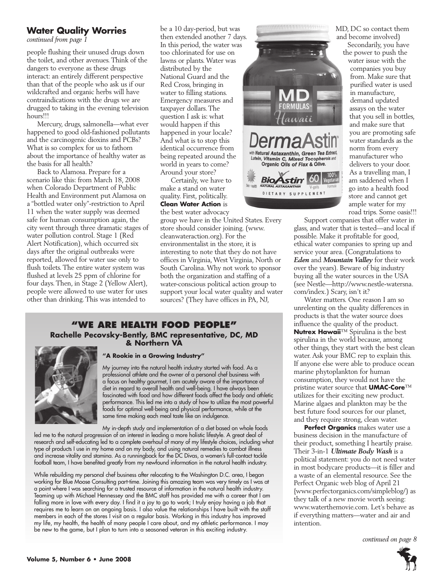#### **Water Quality Worries**

*continued from page 1*

people flushing their unused drugs down the toilet, and other avenues. Think of the dangers to everyone as these drugs interact: an entirely different perspective than that of the people who ask us if our wildcrafted and organic herbs will have contraindications with the drugs we are drugged to taking in the evening television hours!!!

Mercury, drugs, salmonella—what ever happened to good old-fashioned pollutants and the carcinogenic dioxins and PCBs? What is so complex for us to fathom about the importance of healthy water as the basis for all health?

Back to Alamosa. Prepare for a scenario like this: from March 18, 2008 when Colorado Department of Public Health and Environment put Alamosa on a "bottled water only"-restriction to April 11 when the water supply was deemed safe for human consumption again, the city went through three dramatic stages of water pollution control. Stage 1 (Red Alert Notification), which occurred six days after the original outbreaks were reported, allowed for water use only to flush toilets. The entire water system was flushed at levels 25 ppm of chlorine for four days. Then, in Stage 2 (Yellow Alert), people were allowed to use water for uses other than drinking. This was intended to

be a 10 day-period, but was then extended another 7 days. In this period, the water was too chlorinated for use on lawns or plants. Water was distributed by the National Guard and the Red Cross, bringing in water to filling stations. Emergency measures and taxpayer dollars. The question I ask is: what would happen if this happened in your locale? And what is to stop this identical occurrence from being repeated around the world in years to come? Around your store?

Certainly, we have to make a stand on water quality. First, politically. **Clean Water Action** is the best water advocacy

group we have in the United States. Every store should consider joining. (www. cleanwateraction.org). For the environmentalist in the store, it is interesting to note that they do not have offices in Virginia, West Virginia, North or South Carolina. Why not work to sponsor both the organization and staffing of a water-conscious political action group to support your local water quality and water sources? (They have offices in PA, NJ,

#### **"We Are health food people" Rachelle Pecovsky-Bently, BMC representative, DC, MD & Northern VA**



#### **"A Rookie in a Growing Industry"**

My journey into the natural health industry started with food. As a professional athlete and the owner of a personal chef business with a focus on healthy gourmet, I am acutely aware of the importance of diet in regard to overall health and well-being. I have always been fascinated with food and how different foods affect the body and athletic performance. This led me into a study of how to utilize the most powerful foods for optimal well-being and physical performance, while at the same time making each meal taste like an indulgence.

My in-depth study and implementation of a diet based on whole foods led me to the natural progression of an interest in leading a more holistic lifestyle. A great deal of research and self-educating led to a complete overhaul of many of my lifestyle choices, including what type of products I use in my home and on my body, and using natural remedies to combat illness and increase vitality and stamina. As a runningback for the DC Divas, a women's full-contact tackle football team, I have benefited greatly from my newfound information in the natural health industry.

While rebuilding my personal chef business after relocating to the Washington D.C. area, I began working for Blue Moose Consulting part-time. Joining this amazing team was very timely as I was at a point where I was searching for a trusted resource of information in the natural health industry. Teaming up with Michael Hennessey and the BMC staff has provided me with a career that I am falling more in love with every day. I find it a joy to go to work; I truly enjoy having a job that requires me to learn on an ongoing basis. I also value the relationships I have built with the staff members in each of the stores I visit on a regular basis. Working in this industry has improved my life, my health, the health of many people I care about, and my athletic performance. I may be new to the game, but I plan to turn into a seasoned veteran in this exciting industry.



MD, DC so contact them and become involved)

Secondarily, you have the power to push the water issue with the companies you buy from. Make sure that purified water is used in manufacture, demand updated assays on the water that you sell in bottles, and make sure that you are promoting safe water standards as the norm from every manufacturer who delivers to your door. As a travelling man, I am saddened when I go into a health food store and cannot get ample water for my road trips. Some oasis!!!

Support companies that offer water in glass, and water that is tested—and local if possible. Make it profitable for good, ethical water companies to spring up and service your area. (Congratulations to *Eden* and *Mountain Valley* for their work over the years). Beware of big industry buying all the water sources in the USA (see Nestle—http://www.nestle-watersna. com/index.) Scary, isn't it?

Water matters. One reason I am so unrelenting on the quality differences in products is that the water source does influence the quality of the product. **Nutrex Hawaii**™ Spirulina is the best spirulina in the world because, among other things, they start with the best clean water. Ask your BMC rep to explain this. If anyone else were able to produce ocean marine phytoplankton for human consumption, they would not have the pristine water source that **UMAC-Core**™ utilizes for their exciting new product. Marine algaes and plankton may be the best future food sources for our planet, and they require strong, clean water.

**Perfect Organics** makes water use a business decision in the manufacture of their product, something I heartily praise. Their 3-in-1 *Ultimate Body Wash* is a political statement: you do not need water in most bodycare products—it is filler and a waste of an elemental resource. See the Perfect Organic web blog of April 21 {www.perfectorganics.com/simpleblog/) as they talk of a new movie worth seeing: www.waterthemovie.com. Let's behave as if everything matters—water and air and intention.

*continued on page 8*